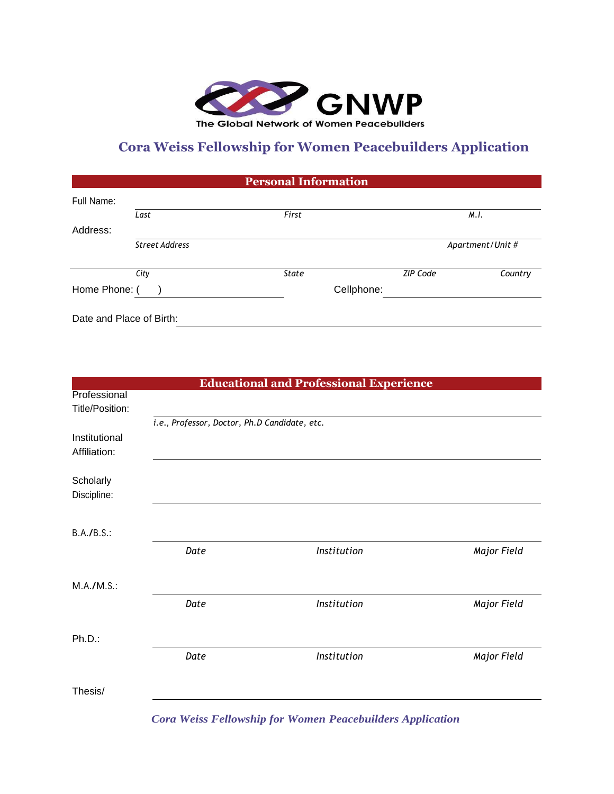

## **Cora Weiss Fellowship for Women Peacebuilders Application**

|                          |                       | <b>Personal Information</b> |                 |                  |
|--------------------------|-----------------------|-----------------------------|-----------------|------------------|
| Full Name:               |                       |                             |                 |                  |
|                          | Last                  | First                       |                 | M.I.             |
| Address:                 |                       |                             |                 |                  |
|                          | <b>Street Address</b> |                             |                 | Apartment/Unit # |
|                          |                       | State                       | <b>ZIP Code</b> |                  |
|                          | City                  |                             |                 | Country          |
| Home Phone: (            |                       |                             | Cellphone:      |                  |
| Date and Place of Birth: |                       |                             |                 |                  |

|                 |                                               | <b>Educational and Professional Experience</b> |             |
|-----------------|-----------------------------------------------|------------------------------------------------|-------------|
| Professional    |                                               |                                                |             |
| Title/Position: |                                               |                                                |             |
|                 | i.e., Professor, Doctor, Ph.D Candidate, etc. |                                                |             |
| Institutional   |                                               |                                                |             |
| Affiliation:    |                                               |                                                |             |
|                 |                                               |                                                |             |
| Scholarly       |                                               |                                                |             |
| Discipline:     |                                               |                                                |             |
|                 |                                               |                                                |             |
|                 |                                               |                                                |             |
| B.A./B.S.:      |                                               |                                                |             |
|                 | Date                                          | Institution                                    | Major Field |
|                 |                                               |                                                |             |
| M.A./M.S.:      |                                               |                                                |             |
|                 |                                               | Institution                                    |             |
|                 | Date                                          |                                                | Major Field |
|                 |                                               |                                                |             |
| Ph.D.:          |                                               |                                                |             |
|                 | Date                                          | Institution                                    | Major Field |
|                 |                                               |                                                |             |
|                 |                                               |                                                |             |
| Thesis/         |                                               |                                                |             |

*Cora Weiss Fellowship for Women Peacebuilders Application*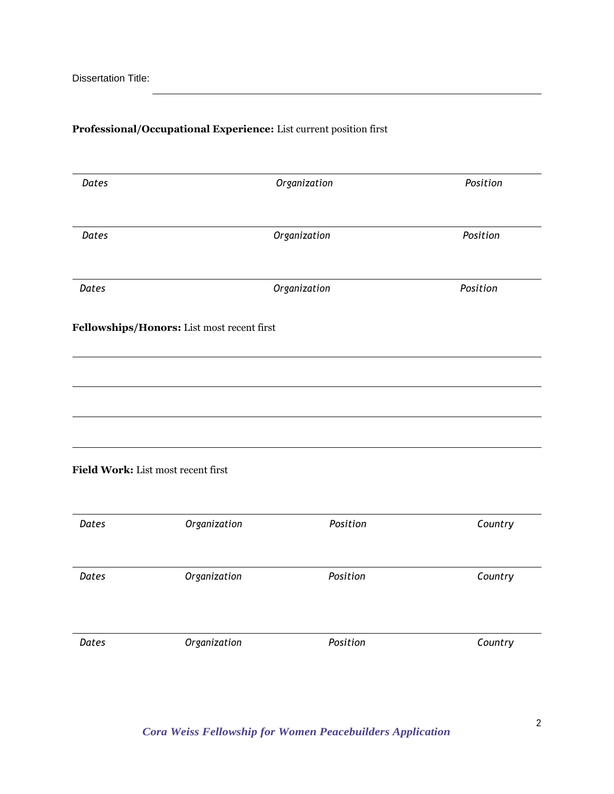## **Professional/Occupational Experience:** List current position first

| Dates |                                            | Organization | Position |  |
|-------|--------------------------------------------|--------------|----------|--|
| Dates | Organization                               | Position     |          |  |
| Dates |                                            | Organization |          |  |
|       | Fellowships/Honors: List most recent first |              |          |  |
|       |                                            |              |          |  |
|       |                                            |              |          |  |
|       | Field Work: List most recent first         |              |          |  |
| Dates | Organization                               | Position     | Country  |  |
| Dates | Organization                               | Position     | Country  |  |
| Dates | Organization                               | Position     | Country  |  |